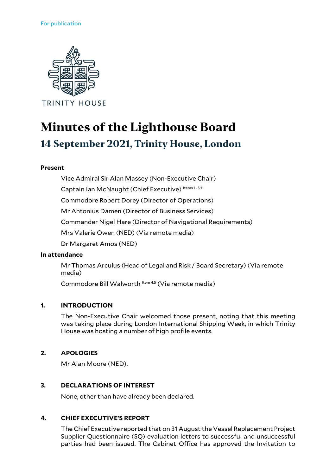

# **Minutes of the Lighthouse Board 14 September 2021, Trinity House, London**

## **Present**

Vice Admiral Sir Alan Massey (Non-Executive Chair)

Captain Ian McNaught (Chief Executive) Items 1-5.11

Commodore Robert Dorey (Director of Operations)

Mr Antonius Damen (Director of Business Services)

Commander Nigel Hare (Director of Navigational Requirements)

Mrs Valerie Owen (NED) (Via remote media)

Dr Margaret Amos (NED)

#### **In attendance**

Mr Thomas Arculus (Head of Legal and Risk / Board Secretary) (Via remote media)

Commodore Bill Walworth Item 4.5 (Via remote media)

## **1. INTRODUCTION**

The Non-Executive Chair welcomed those present, noting that this meeting was taking place during London International Shipping Week, in which Trinity House was hosting a number of high profile events.

## **2. APOLOGIES**

Mr Alan Moore (NED).

## **3. DECLARATIONS OF INTEREST**

None, other than have already been declared.

# **4. CHIEF EXECUTIVE'S REPORT**

The Chief Executive reported that on 31 August the Vessel Replacement Project Supplier Questionnaire (SQ) evaluation letters to successful and unsuccessful parties had been issued. The Cabinet Office has approved the Invitation to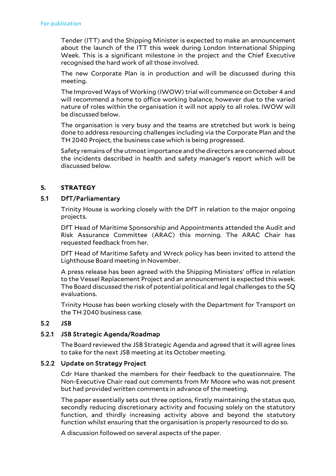Tender (ITT) and the Shipping Minister is expected to make an announcement about the launch of the ITT this week during London International Shipping Week. This is a significant milestone in the project and the Chief Executive recognised the hard work of all those involved.

The new Corporate Plan is in production and will be discussed during this meeting.

The Improved Ways of Working (IWOW) trial will commence on October 4 and will recommend a home to office working balance, however due to the varied nature of roles within the organisation it will not apply to all roles. IWOW will be discussed below.

The organisation is very busy and the teams are stretched but work is being done to address resourcing challenges including via the Corporate Plan and the TH 2040 Project, the business case which is being progressed.

Safety remains of the utmost importance and the directors are concerned about the incidents described in health and safety manager's report which will be discussed below.

# **5. STRATEGY**

## 5.1 DfT/Parliamentary

Trinity House is working closely with the DfT in relation to the major ongoing projects.

DfT Head of Maritime Sponsorship and Appointments attended the Audit and Risk Assurance Committee (ARAC) this morning. The ARAC Chair has requested feedback from her.

DfT Head of Maritime Safety and Wreck policy has been invited to attend the Lighthouse Board meeting in November.

A press release has been agreed with the Shipping Ministers' office in relation to the Vessel Replacement Project and an announcement is expected this week. The Board discussed the risk of potential political and legal challenges to the SQ evaluations.

Trinity House has been working closely with the Department for Transport on the TH 2040 business case.

# 5.2 JSB

# 5.2.1 JSB Strategic Agenda/Roadmap

The Board reviewed the JSB Strategic Agenda and agreed that it will agree lines to take for the next JSB meeting at its October meeting.

## 5.2.2 Update on Strategy Project

Cdr Hare thanked the members for their feedback to the questionnaire. The Non-Executive Chair read out comments from Mr Moore who was not present but had provided written comments in advance of the meeting.

The paper essentially sets out three options, firstly maintaining the status quo, secondly reducing discretionary activity and focusing solely on the statutory function, and thirdly increasing activity above and beyond the statutory function whilst ensuring that the organisation is properly resourced to do so.

A discussion followed on several aspects of the paper.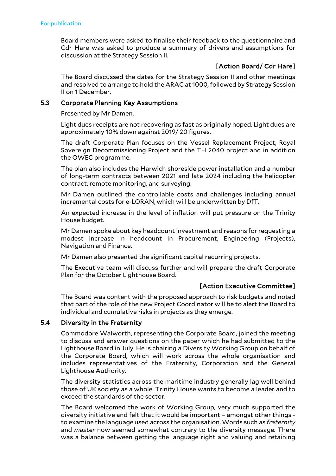Board members were asked to finalise their feedback to the questionnaire and Cdr Hare was asked to produce a summary of drivers and assumptions for discussion at the Strategy Session II.

# [Action Board/ Cdr Hare]

The Board discussed the dates for the Strategy Session II and other meetings and resolved to arrange to hold the ARAC at 1000, followed by Strategy Session II on 1 December.

## 5.3 Corporate Planning Key Assumptions

Presented by Mr Damen.

Light dues receipts are not recovering as fast as originally hoped. Light dues are approximately 10% down against 2019/ 20 figures.

The draft Corporate Plan focuses on the Vessel Replacement Project, Royal Sovereign Decommissioning Project and the TH 2040 project and in addition the OWEC programme.

The plan also includes the Harwich shoreside power installation and a number of long-term contracts between 2021 and late 2024 including the helicopter contract, remote monitoring, and surveying.

Mr Damen outlined the controllable costs and challenges including annual incremental costs for e-LORAN, which will be underwritten by DfT.

An expected increase in the level of inflation will put pressure on the Trinity House budget.

Mr Damen spoke about key headcount investment and reasons for requesting a modest increase in headcount in Procurement, Engineering (Projects), Navigation and Finance.

Mr Damen also presented the significant capital recurring projects.

The Executive team will discuss further and will prepare the draft Corporate Plan for the October Lighthouse Board.

# [Action Executive Committee]

The Board was content with the proposed approach to risk budgets and noted that part of the role of the new Project Coordinator will be to alert the Board to individual and cumulative risks in projects as they emerge.

## 5.4 Diversity in the Fraternity

Commodore Walworth, representing the Corporate Board, joined the meeting to discuss and answer questions on the paper which he had submitted to the Lighthouse Board in July. He is chairing a Diversity Working Group on behalf of the Corporate Board, which will work across the whole organisation and includes representatives of the Fraternity, Corporation and the General Lighthouse Authority.

The diversity statistics across the maritime industry generally lag well behind those of UK society as a whole. Trinity House wants to become a leader and to exceed the standards of the sector.

The Board welcomed the work of Working Group, very much supported the diversity initiative and felt that it would be important – amongst other things to examine the language used across the organisation. Words such as *fraternity* and *master* now seemed somewhat contrary to the diversity message. There was a balance between getting the language right and valuing and retaining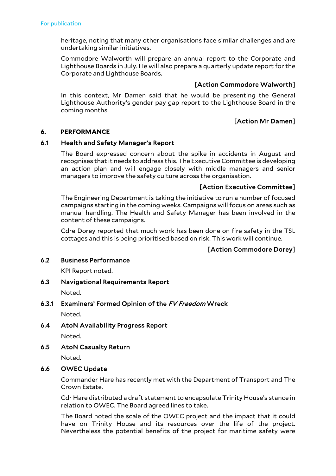heritage, noting that many other organisations face similar challenges and are undertaking similar initiatives.

Commodore Walworth will prepare an annual report to the Corporate and Lighthouse Boards in July. He will also prepare a quarterly update report for the Corporate and Lighthouse Boards.

# [Action Commodore Walworth]

In this context, Mr Damen said that he would be presenting the General Lighthouse Authority's gender pay gap report to the Lighthouse Board in the coming months.

# [Action Mr Damen]

## **6. PERFORMANCE**

## 6.1 Health and Safety Manager's Report

The Board expressed concern about the spike in accidents in August and recognises that it needs to address this. The Executive Committee is developing an action plan and will engage closely with middle managers and senior managers to improve the safety culture across the organisation.

## [Action Executive Committee]

The Engineering Department is taking the initiative to run a number of focused campaigns starting in the coming weeks. Campaigns will focus on areas such as manual handling. The Health and Safety Manager has been involved in the content of these campaigns.

Cdre Dorey reported that much work has been done on fire safety in the TSL cottages and this is being prioritised based on risk. This work will continue.

# [Action Commodore Dorey]

## 6.2 Business Performance

KPI Report noted.

# 6.3 Navigational Requirements Report

Noted.

# 6.3.1 Examiners' Formed Opinion of the FV Freedom Wreck

Noted.

6.4 AtoN Availability Progress Report

Noted.

6.5 AtoN Casualty Return

Noted.

# 6.6 OWEC Update

Commander Hare has recently met with the Department of Transport and The Crown Estate.

Cdr Hare distributed a draft statement to encapsulate Trinity House's stance in relation to OWEC. The Board agreed lines to take.

The Board noted the scale of the OWEC project and the impact that it could have on Trinity House and its resources over the life of the project. Nevertheless the potential benefits of the project for maritime safety were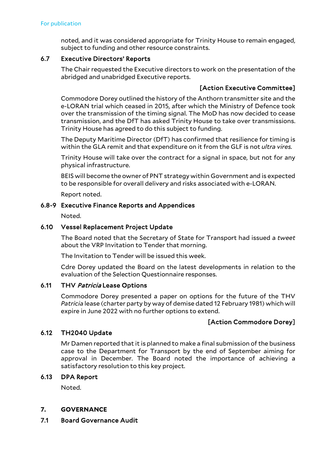noted, and it was considered appropriate for Trinity House to remain engaged, subject to funding and other resource constraints.

## 6.7 Executive Directors' Reports

The Chair requested the Executive directors to work on the presentation of the abridged and unabridged Executive reports.

# [Action Executive Committee]

Commodore Dorey outlined the history of the Anthorn transmitter site and the e-LORAN trial which ceased in 2015, after which the Ministry of Defence took over the transmission of the timing signal. The MoD has now decided to cease transmission, and the DfT has asked Trinity House to take over transmissions. Trinity House has agreed to do this subject to funding.

The Deputy Maritime Director (DfT) has confirmed that resilience for timing is within the GLA remit and that expenditure on it from the GLF is not *ultra vires.*

Trinity House will take over the contract for a signal in space, but not for any physical infrastructure.

BEIS will become the owner of PNT strategy within Government and is expected to be responsible for overall delivery and risks associated with e-LORAN.

Report noted.

## 6.8-9 Executive Finance Reports and Appendices

Noted.

## 6.10 Vessel Replacement Project Update

The Board noted that the Secretary of State for Transport had issued a *tweet*  about the VRP Invitation to Tender that morning.

The Invitation to Tender will be issued this week.

Cdre Dorey updated the Board on the latest developments in relation to the evaluation of the Selection Questionnaire responses.

## 6.11 THV Patricia Lease Options

Commodore Dorey presented a paper on options for the future of the THV *Patricia* lease (charter party by way of demise dated 12 February 1981) which will expire in June 2022 with no further options to extend.

# [Action Commodore Dorey]

## 6.12 TH2040 Update

Mr Damen reported that it is planned to make a final submission of the business case to the Department for Transport by the end of September aiming for approval in December. The Board noted the importance of achieving a satisfactory resolution to this key project.

## 6.13 DPA Report

Noted.

## **7. GOVERNANCE**

## 7.1 Board Governance Audit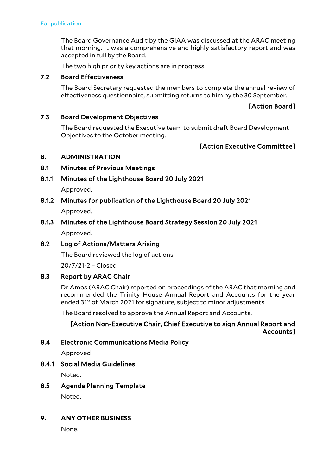The Board Governance Audit by the GIAA was discussed at the ARAC meeting that morning. It was a comprehensive and highly satisfactory report and was accepted in full by the Board.

The two high priority key actions are in progress.

## 7.2 Board Effectiveness

The Board Secretary requested the members to complete the annual review of effectiveness questionnaire, submitting returns to him by the 30 September.

## [Action Board]

## 7.3 Board Development Objectives

The Board requested the Executive team to submit draft Board Development Objectives to the October meeting.

## [Action Executive Committee]

#### **8. ADMINISTRATION**

## 8.1 Minutes of Previous Meetings

- 8.1.1 Minutes of the Lighthouse Board 20 July 2021 Approved.
- 8.1.2 Minutes for publication of the Lighthouse Board 20 July 2021 Approved.

# 8.1.3 Minutes of the Lighthouse Board Strategy Session 20 July 2021 Approved.

## 8.2 Log of Actions/Matters Arising

The Board reviewed the log of actions.

20/7/21-2 – Closed

## 8.3 Report by ARAC Chair

Dr Amos (ARAC Chair) reported on proceedings of the ARAC that morning and recommended the Trinity House Annual Report and Accounts for the year ended 31<sup>st</sup> of March 2021 for signature, subject to minor adjustments.

The Board resolved to approve the Annual Report and Accounts.

# [Action Non-Executive Chair, Chief Executive to sign Annual Report and Accounts]

## 8.4 Electronic Communications Media Policy

Approved

8.4.1 Social Media Guidelines

Noted.

8.5 Agenda Planning Template

Noted.

## **9. ANY OTHER BUSINESS**

None.